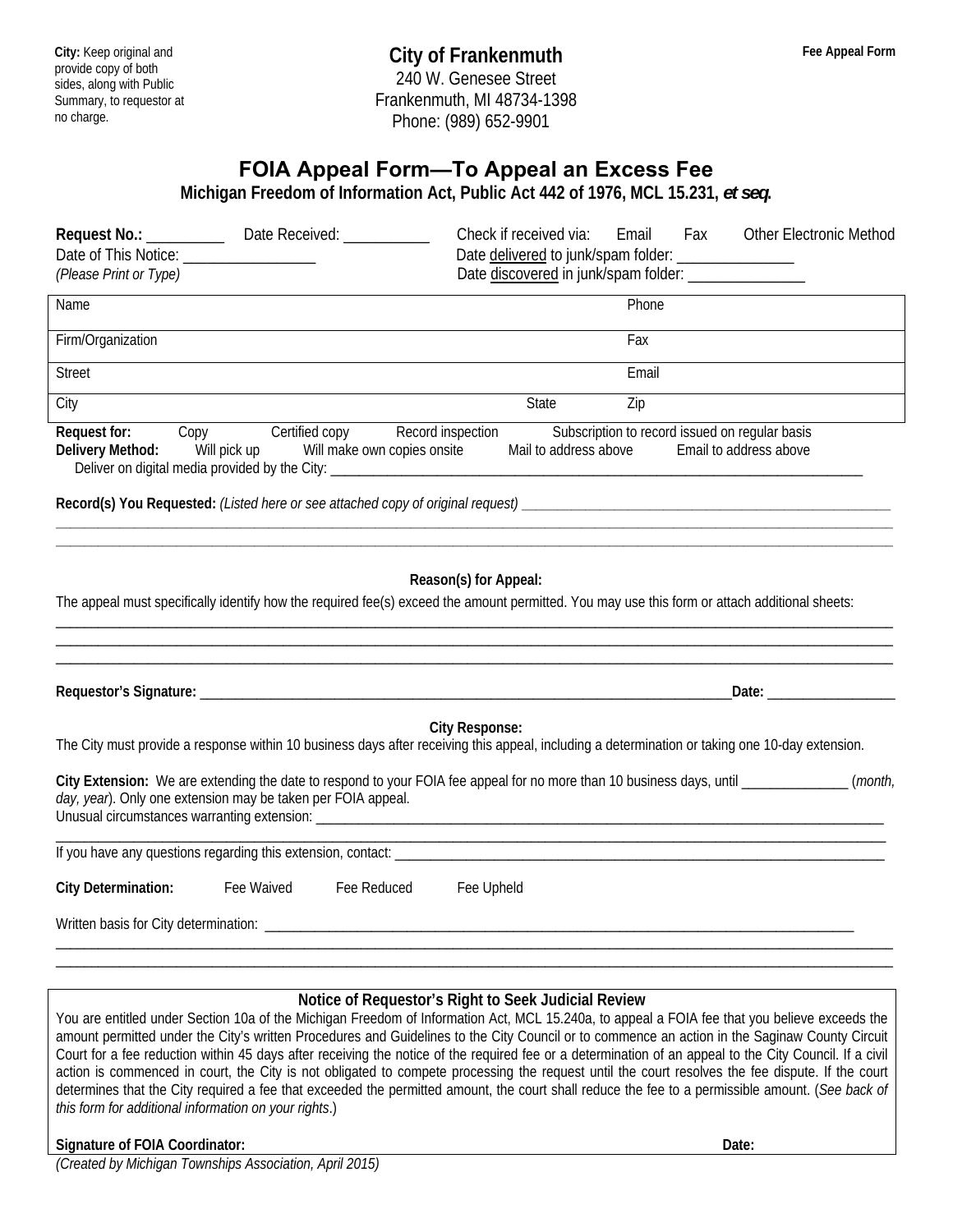## **FOIA Appeal Form—To Appeal an Excess Fee**

**Michigan Freedom of Information Act, Public Act 442 of 1976, MCL 15.231,** *et seq***.** 

| Date delivered to junk/spam folder: __________________<br>Date discovered in junk/spam folder: __________________                                                                     |
|---------------------------------------------------------------------------------------------------------------------------------------------------------------------------------------|
| Phone                                                                                                                                                                                 |
| Fax                                                                                                                                                                                   |
| Email                                                                                                                                                                                 |
| Zip<br>State                                                                                                                                                                          |
| Record inspection<br>Subscription to record issued on regular basis<br>Delivery Method: Will pick up Will make own copies onsite<br>Mail to address above<br>Email to address above   |
|                                                                                                                                                                                       |
| Reason(s) for Appeal:<br>The appeal must specifically identify how the required fee(s) exceed the amount permitted. You may use this form or attach additional sheets:<br>Date: Date: |
| <b>City Response:</b>                                                                                                                                                                 |
| The City must provide a response within 10 business days after receiving this appeal, including a determination or taking one 10-day extension.                                       |
| City Extension: We are extending the date to respond to your FOIA fee appeal for no more than 10 business days, until ______________(month,                                           |
| and the control of the control of the control of the control of the control of the control of the control of the                                                                      |
| Fee Upheld                                                                                                                                                                            |
|                                                                                                                                                                                       |
|                                                                                                                                                                                       |

## **Notice of Requestor's Right to Seek Judicial Review**

You are entitled under Section 10a of the Michigan Freedom of Information Act, MCL 15.240a, to appeal a FOIA fee that you believe exceeds the amount permitted under the City's written Procedures and Guidelines to the City Council or to commence an action in the Saginaw County Circuit Court for a fee reduction within 45 days after receiving the notice of the required fee or a determination of an appeal to the City Council. If a civil action is commenced in court, the City is not obligated to compete processing the request until the court resolves the fee dispute. If the court determines that the City required a fee that exceeded the permitted amount, the court shall reduce the fee to a permissible amount. (*See back of this form for additional information on your rights*.)